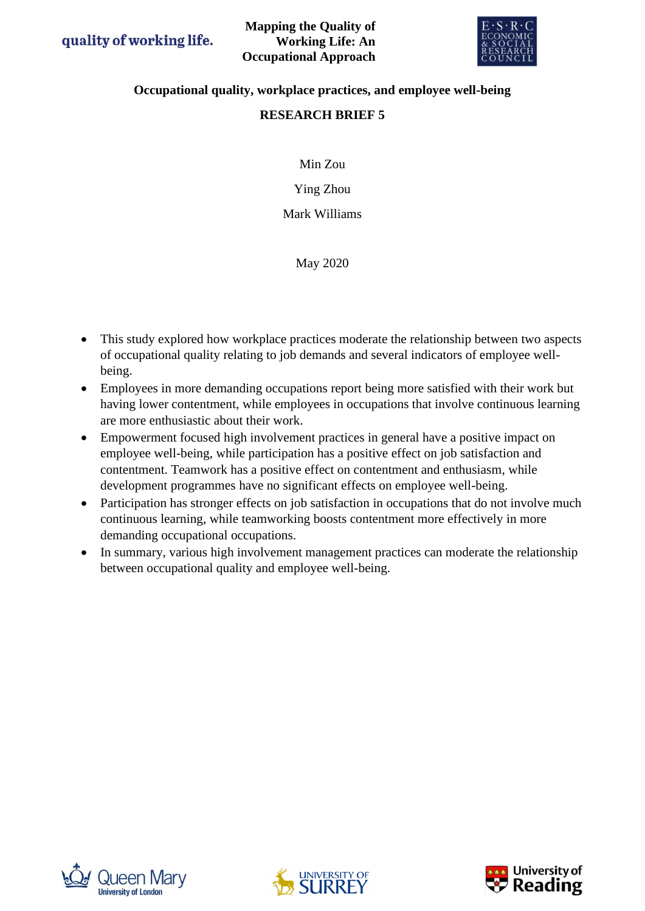

## **Occupational quality, workplace practices, and employee well-being**

# **RESEARCH BRIEF 5**

Min Zou

Ying Zhou

Mark Williams

May 2020

- This study explored how workplace practices moderate the relationship between two aspects of occupational quality relating to job demands and several indicators of employee wellbeing.
- Employees in more demanding occupations report being more satisfied with their work but having lower contentment, while employees in occupations that involve continuous learning are more enthusiastic about their work.
- Empowerment focused high involvement practices in general have a positive impact on employee well-being, while participation has a positive effect on job satisfaction and contentment. Teamwork has a positive effect on contentment and enthusiasm, while development programmes have no significant effects on employee well-being.
- Participation has stronger effects on job satisfaction in occupations that do not involve much continuous learning, while teamworking boosts contentment more effectively in more demanding occupational occupations.
- In summary, various high involvement management practices can moderate the relationship between occupational quality and employee well-being.





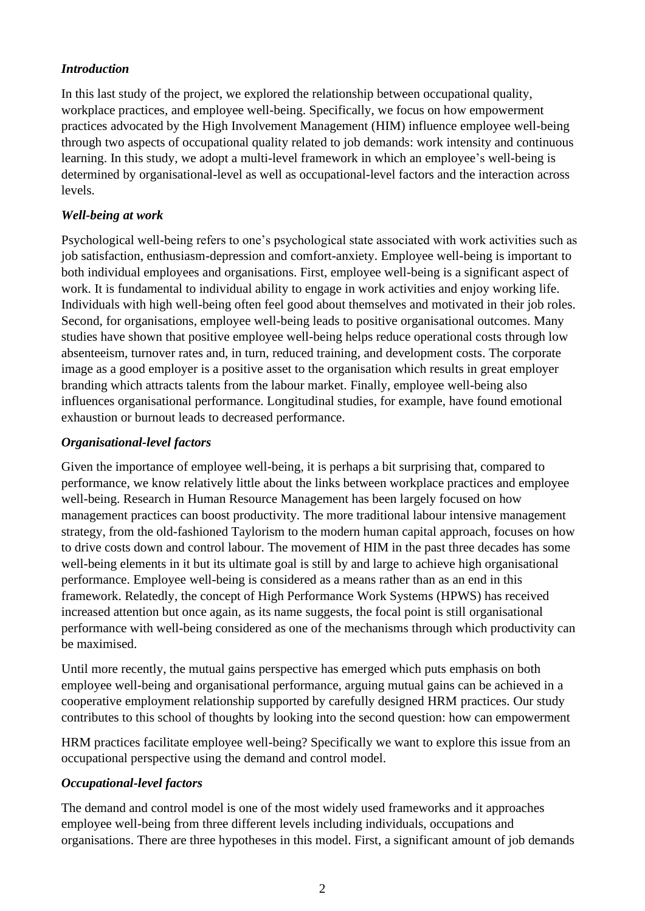## *Introduction*

In this last study of the project, we explored the relationship between occupational quality, workplace practices, and employee well-being. Specifically, we focus on how empowerment practices advocated by the High Involvement Management (HIM) influence employee well-being through two aspects of occupational quality related to job demands: work intensity and continuous learning. In this study, we adopt a multi-level framework in which an employee's well-being is determined by organisational-level as well as occupational-level factors and the interaction across levels.

#### *Well-being at work*

Psychological well-being refers to one's psychological state associated with work activities such as job satisfaction, enthusiasm-depression and comfort-anxiety. Employee well-being is important to both individual employees and organisations. First, employee well-being is a significant aspect of work. It is fundamental to individual ability to engage in work activities and enjoy working life. Individuals with high well-being often feel good about themselves and motivated in their job roles. Second, for organisations, employee well-being leads to positive organisational outcomes. Many studies have shown that positive employee well-being helps reduce operational costs through low absenteeism, turnover rates and, in turn, reduced training, and development costs. The corporate image as a good employer is a positive asset to the organisation which results in great employer branding which attracts talents from the labour market. Finally, employee well-being also influences organisational performance. Longitudinal studies, for example, have found emotional exhaustion or burnout leads to decreased performance.

#### *Organisational-level factors*

Given the importance of employee well-being, it is perhaps a bit surprising that, compared to performance, we know relatively little about the links between workplace practices and employee well-being. Research in Human Resource Management has been largely focused on how management practices can boost productivity. The more traditional labour intensive management strategy, from the old-fashioned Taylorism to the modern human capital approach, focuses on how to drive costs down and control labour. The movement of HIM in the past three decades has some well-being elements in it but its ultimate goal is still by and large to achieve high organisational performance. Employee well-being is considered as a means rather than as an end in this framework. Relatedly, the concept of High Performance Work Systems (HPWS) has received increased attention but once again, as its name suggests, the focal point is still organisational performance with well-being considered as one of the mechanisms through which productivity can be maximised.

Until more recently, the mutual gains perspective has emerged which puts emphasis on both employee well-being and organisational performance, arguing mutual gains can be achieved in a cooperative employment relationship supported by carefully designed HRM practices. Our study contributes to this school of thoughts by looking into the second question: how can empowerment

HRM practices facilitate employee well-being? Specifically we want to explore this issue from an occupational perspective using the demand and control model.

#### *Occupational-level factors*

The demand and control model is one of the most widely used frameworks and it approaches employee well-being from three different levels including individuals, occupations and organisations. There are three hypotheses in this model. First, a significant amount of job demands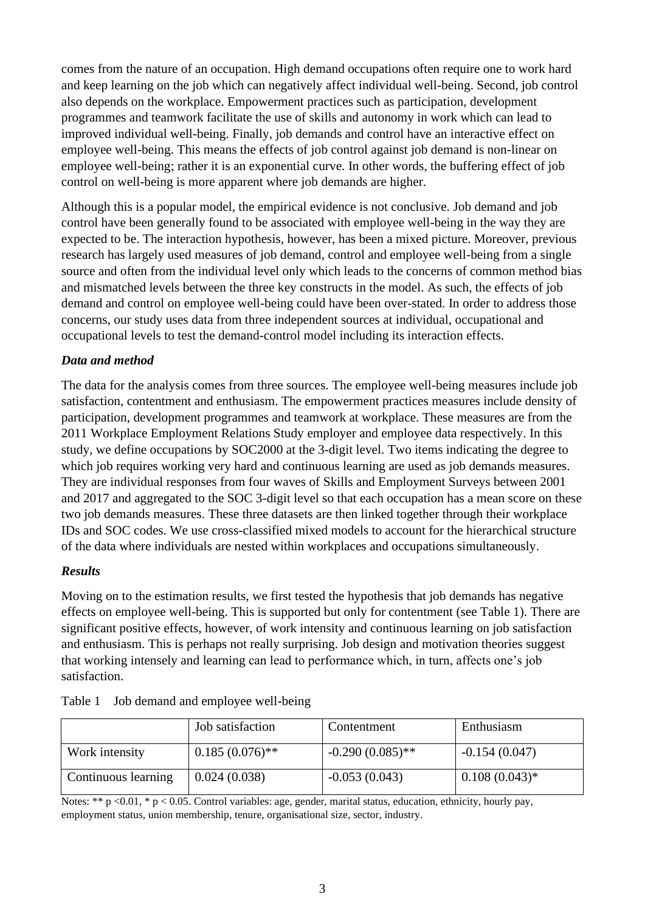comes from the nature of an occupation. High demand occupations often require one to work hard and keep learning on the job which can negatively affect individual well-being. Second, job control also depends on the workplace. Empowerment practices such as participation, development programmes and teamwork facilitate the use of skills and autonomy in work which can lead to improved individual well-being. Finally, job demands and control have an interactive effect on employee well-being. This means the effects of job control against job demand is non-linear on employee well-being; rather it is an exponential curve. In other words, the buffering effect of job control on well-being is more apparent where job demands are higher.

Although this is a popular model, the empirical evidence is not conclusive. Job demand and job control have been generally found to be associated with employee well-being in the way they are expected to be. The interaction hypothesis, however, has been a mixed picture. Moreover, previous research has largely used measures of job demand, control and employee well-being from a single source and often from the individual level only which leads to the concerns of common method bias and mismatched levels between the three key constructs in the model. As such, the effects of job demand and control on employee well-being could have been over-stated. In order to address those concerns, our study uses data from three independent sources at individual, occupational and occupational levels to test the demand-control model including its interaction effects.

## *Data and method*

The data for the analysis comes from three sources. The employee well-being measures include job satisfaction, contentment and enthusiasm. The empowerment practices measures include density of participation, development programmes and teamwork at workplace. These measures are from the 2011 Workplace Employment Relations Study employer and employee data respectively. In this study, we define occupations by SOC2000 at the 3-digit level. Two items indicating the degree to which job requires working very hard and continuous learning are used as job demands measures. They are individual responses from four waves of Skills and Employment Surveys between 2001 and 2017 and aggregated to the SOC 3-digit level so that each occupation has a mean score on these two job demands measures. These three datasets are then linked together through their workplace IDs and SOC codes. We use cross-classified mixed models to account for the hierarchical structure of the data where individuals are nested within workplaces and occupations simultaneously.

#### *Results*

Moving on to the estimation results, we first tested the hypothesis that job demands has negative effects on employee well-being. This is supported but only for contentment (see Table 1). There are significant positive effects, however, of work intensity and continuous learning on job satisfaction and enthusiasm. This is perhaps not really surprising. Job design and motivation theories suggest that working intensely and learning can lead to performance which, in turn, affects one's job satisfaction.

|                     | Job satisfaction  | Contentment        | Enthusiasm       |
|---------------------|-------------------|--------------------|------------------|
| Work intensity      | $0.185(0.076)$ ** | $-0.290(0.085)$ ** | $-0.154(0.047)$  |
| Continuous learning | 0.024(0.038)      | $-0.053(0.043)$    | $0.108(0.043)$ * |

| Table 1 Job demand and employee well-being |  |  |
|--------------------------------------------|--|--|
|                                            |  |  |

Notes: \*\* p <0.01, \* p < 0.05. Control variables: age, gender, marital status, education, ethnicity, hourly pay, employment status, union membership, tenure, organisational size, sector, industry.